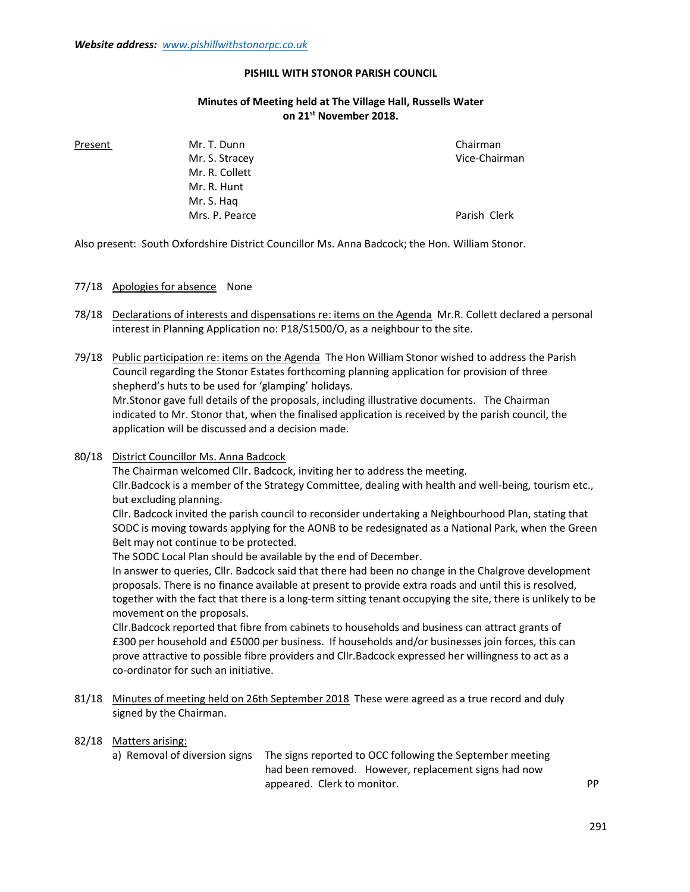#### PISHILL WITH STONOR PARISH COUNCIL

## Minutes of Meeting held at The Village Hall, Russells Water on 21<sup>st</sup> November 2018.

 Mr. S. Stracey Vice-Chairman Mr. R. Collett Mr. R. Hunt Mr. S. Haq Mrs. P. Pearce **Parish Clerk** Parish Clerk

Present Mr. T. Dunn Chairman Chairman

Also present: South Oxfordshire District Councillor Ms. Anna Badcock; the Hon. William Stonor.

### 77/18 Apologies for absence None

78/18 Declarations of interests and dispensations re: items on the Agenda Mr.R. Collett declared a personal interest in Planning Application no: P18/S1500/O, as a neighbour to the site.

79/18 Public participation re: items on the Agenda The Hon William Stonor wished to address the Parish Council regarding the Stonor Estates forthcoming planning application for provision of three shepherd's huts to be used for 'glamping' holidays. Mr.Stonor gave full details of the proposals, including illustrative documents. The Chairman indicated to Mr. Stonor that, when the finalised application is received by the parish council, the

application will be discussed and a decision made.

80/18 District Councillor Ms. Anna Badcock

 The Chairman welcomed Cllr. Badcock, inviting her to address the meeting. Cllr.Badcock is a member of the Strategy Committee, dealing with health and well-being, tourism etc., but excluding planning.

 Cllr. Badcock invited the parish council to reconsider undertaking a Neighbourhood Plan, stating that SODC is moving towards applying for the AONB to be redesignated as a National Park, when the Green Belt may not continue to be protected.

The SODC Local Plan should be available by the end of December.

 In answer to queries, Cllr. Badcock said that there had been no change in the Chalgrove development proposals. There is no finance available at present to provide extra roads and until this is resolved, together with the fact that there is a long-term sitting tenant occupying the site, there is unlikely to be movement on the proposals.

 Cllr.Badcock reported that fibre from cabinets to households and business can attract grants of £300 per household and £5000 per business. If households and/or businesses join forces, this can prove attractive to possible fibre providers and Cllr.Badcock expressed her willingness to act as a co-ordinator for such an initiative.

81/18 Minutes of meeting held on 26th September 2018 These were agreed as a true record and duly signed by the Chairman.

#### 82/18 Matters arising:

 a) Removal of diversion signs The signs reported to OCC following the September meeting had been removed. However, replacement signs had now appeared. Clerk to monitor. The part of the property of the property of the property of the property of the property of the property of the property of the property of the property of the property of the property of the pr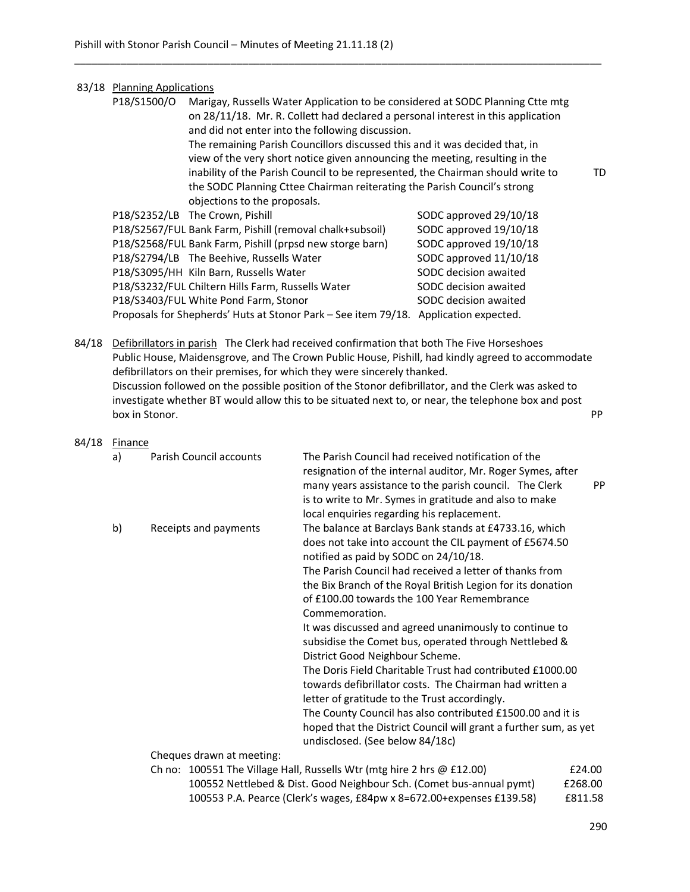# 83/18 Planning Applications

| P18/S1500/O | Marigay, Russells Water Application to be considered at SODC Planning Ctte mtg<br>on 28/11/18. Mr. R. Collett had declared a personal interest in this application<br>and did not enter into the following discussion. |                        |     |
|-------------|------------------------------------------------------------------------------------------------------------------------------------------------------------------------------------------------------------------------|------------------------|-----|
|             | The remaining Parish Councillors discussed this and it was decided that, in                                                                                                                                            |                        |     |
|             | view of the very short notice given announcing the meeting, resulting in the                                                                                                                                           |                        |     |
|             | inability of the Parish Council to be represented, the Chairman should write to                                                                                                                                        |                        | TD. |
|             | the SODC Planning Cttee Chairman reiterating the Parish Council's strong                                                                                                                                               |                        |     |
|             | objections to the proposals.                                                                                                                                                                                           |                        |     |
|             | P18/S2352/LB The Crown, Pishill                                                                                                                                                                                        | SODC approved 29/10/18 |     |
|             | P18/S2567/FUL Bank Farm, Pishill (removal chalk+subsoil)                                                                                                                                                               | SODC approved 19/10/18 |     |
|             | P18/S2568/FUL Bank Farm, Pishill (prpsd new storge barn)                                                                                                                                                               | SODC approved 19/10/18 |     |
|             | P18/S2794/LB The Beehive, Russells Water                                                                                                                                                                               | SODC approved 11/10/18 |     |
|             | P18/S3095/HH Kiln Barn, Russells Water                                                                                                                                                                                 | SODC decision awaited  |     |
|             | P18/S3232/FUL Chiltern Hills Farm, Russells Water                                                                                                                                                                      | SODC decision awaited  |     |
|             | P18/S3403/FUL White Pond Farm, Stonor                                                                                                                                                                                  | SODC decision awaited  |     |
|             | Proposals for Shepherds' Huts at Stonor Park - See item 79/18.                                                                                                                                                         | Application expected.  |     |

\_\_\_\_\_\_\_\_\_\_\_\_\_\_\_\_\_\_\_\_\_\_\_\_\_\_\_\_\_\_\_\_\_\_\_\_\_\_\_\_\_\_\_\_\_\_\_\_\_\_\_\_\_\_\_\_\_\_\_\_\_\_\_\_\_\_\_\_\_\_\_\_\_\_\_\_\_\_\_\_\_\_\_\_\_\_\_\_\_\_\_

84/18 Defibrillators in parish The Clerk had received confirmation that both The Five Horseshoes Public House, Maidensgrove, and The Crown Public House, Pishill, had kindly agreed to accommodate defibrillators on their premises, for which they were sincerely thanked. Discussion followed on the possible position of the Stonor defibrillator, and the Clerk was asked to investigate whether BT would allow this to be situated next to, or near, the telephone box and post box in Stonor. PP provides the state of the store of the store of the store of the store of the store of the store of the store of the store of the store of the store of the store of the store of the store of the store of

84/18 **Finance** 

|  | a) | Parish Council accounts   | The Parish Council had received notification of the<br>resignation of the internal auditor, Mr. Roger Symes, after<br>many years assistance to the parish council. The Clerk<br>is to write to Mr. Symes in gratitude and also to make<br>local enquiries regarding his replacement. | <b>PP</b> |
|--|----|---------------------------|--------------------------------------------------------------------------------------------------------------------------------------------------------------------------------------------------------------------------------------------------------------------------------------|-----------|
|  | b) | Receipts and payments     | The balance at Barclays Bank stands at £4733.16, which<br>does not take into account the CIL payment of £5674.50<br>notified as paid by SODC on 24/10/18.                                                                                                                            |           |
|  |    |                           | The Parish Council had received a letter of thanks from                                                                                                                                                                                                                              |           |
|  |    |                           | the Bix Branch of the Royal British Legion for its donation                                                                                                                                                                                                                          |           |
|  |    |                           | of £100.00 towards the 100 Year Remembrance                                                                                                                                                                                                                                          |           |
|  |    |                           | Commemoration.                                                                                                                                                                                                                                                                       |           |
|  |    |                           | It was discussed and agreed unanimously to continue to                                                                                                                                                                                                                               |           |
|  |    |                           | subsidise the Comet bus, operated through Nettlebed &                                                                                                                                                                                                                                |           |
|  |    |                           | District Good Neighbour Scheme.                                                                                                                                                                                                                                                      |           |
|  |    |                           | The Doris Field Charitable Trust had contributed £1000.00                                                                                                                                                                                                                            |           |
|  |    |                           | towards defibrillator costs. The Chairman had written a                                                                                                                                                                                                                              |           |
|  |    |                           | letter of gratitude to the Trust accordingly.                                                                                                                                                                                                                                        |           |
|  |    |                           | The County Council has also contributed £1500.00 and it is                                                                                                                                                                                                                           |           |
|  |    |                           | hoped that the District Council will grant a further sum, as yet                                                                                                                                                                                                                     |           |
|  |    |                           | undisclosed. (See below 84/18c)                                                                                                                                                                                                                                                      |           |
|  |    | Cheques drawn at meeting: |                                                                                                                                                                                                                                                                                      |           |
|  |    |                           | Ch no: 100551 The Village Hall, Russells Wtr (mtg hire 2 hrs @ £12.00)                                                                                                                                                                                                               | £24.00    |
|  |    |                           | 100552 Nettlebed & Dist. Good Neighbour Sch. (Comet bus-annual pymt)                                                                                                                                                                                                                 | £268.00   |
|  |    |                           | 100553 P.A. Pearce (Clerk's wages, £84pw x 8=672.00+expenses £139.58)                                                                                                                                                                                                                | £811.58   |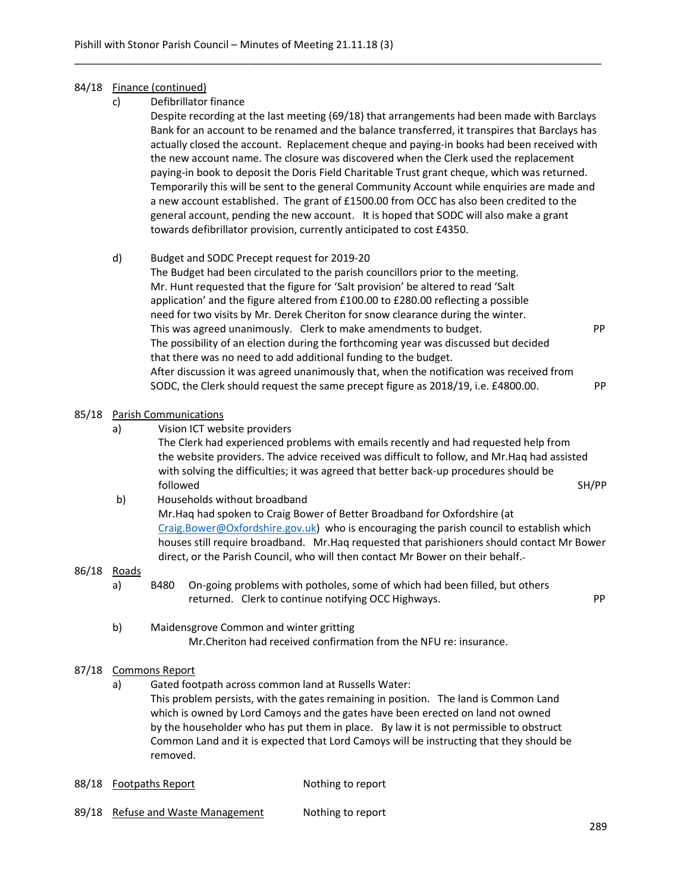### 84/18 Finance (continued)

c) Defibrillator finance

 Despite recording at the last meeting (69/18) that arrangements had been made with Barclays Bank for an account to be renamed and the balance transferred, it transpires that Barclays has actually closed the account. Replacement cheque and paying-in books had been received with the new account name. The closure was discovered when the Clerk used the replacement paying-in book to deposit the Doris Field Charitable Trust grant cheque, which was returned. Temporarily this will be sent to the general Community Account while enquiries are made and a new account established. The grant of £1500.00 from OCC has also been credited to the general account, pending the new account. It is hoped that SODC will also make a grant towards defibrillator provision, currently anticipated to cost £4350.

\_\_\_\_\_\_\_\_\_\_\_\_\_\_\_\_\_\_\_\_\_\_\_\_\_\_\_\_\_\_\_\_\_\_\_\_\_\_\_\_\_\_\_\_\_\_\_\_\_\_\_\_\_\_\_\_\_\_\_\_\_\_\_\_\_\_\_\_\_\_\_\_\_\_\_\_\_\_\_\_\_\_\_\_\_\_\_\_\_\_\_

### d) Budget and SODC Precept request for 2019-20

 The Budget had been circulated to the parish councillors prior to the meeting. Mr. Hunt requested that the figure for 'Salt provision' be altered to read 'Salt application' and the figure altered from £100.00 to £280.00 reflecting a possible need for two visits by Mr. Derek Cheriton for snow clearance during the winter. This was agreed unanimously. Clerk to make amendments to budget. PPP The possibility of an election during the forthcoming year was discussed but decided that there was no need to add additional funding to the budget. After discussion it was agreed unanimously that, when the notification was received from SODC, the Clerk should request the same precept figure as 2018/19, i.e. £4800.00. PP

### 85/18 Parish Communications

a) Vision ICT website providers

 The Clerk had experienced problems with emails recently and had requested help from the website providers. The advice received was difficult to follow, and Mr.Haq had assisted with solving the difficulties; it was agreed that better back-up procedures should be followed the state of the state of the state of the state of the state of the SH/PP state of the SH/PP state of the SH/PP state of the SH/PP state of the SH/PP state of the SH/PP state of the SH/PP state of the SH/PP state

 b) Households without broadband Mr.Haq had spoken to Craig Bower of Better Broadband for Oxfordshire (at Craig.Bower@Oxfordshire.gov.uk) who is encouraging the parish council to establish which houses still require broadband. Mr.Haq requested that parishioners should contact Mr Bower direct, or the Parish Council, who will then contact Mr Bower on their behalf.

## 86/18 Roads

- a) B480 On-going problems with potholes, some of which had been filled, but others returned. Clerk to continue notifying OCC Highways. PP
	-
- b) Maidensgrove Common and winter gritting Mr.Cheriton had received confirmation from the NFU re: insurance.

### 87/18 Commons Report

a) Gated footpath across common land at Russells Water:

 This problem persists, with the gates remaining in position. The land is Common Land which is owned by Lord Camoys and the gates have been erected on land not owned by the householder who has put them in place. By law it is not permissible to obstruct Common Land and it is expected that Lord Camoys will be instructing that they should be removed.

- 88/18 Footpaths Report Nothing to report
- 89/18 Refuse and Waste Management Nothing to report